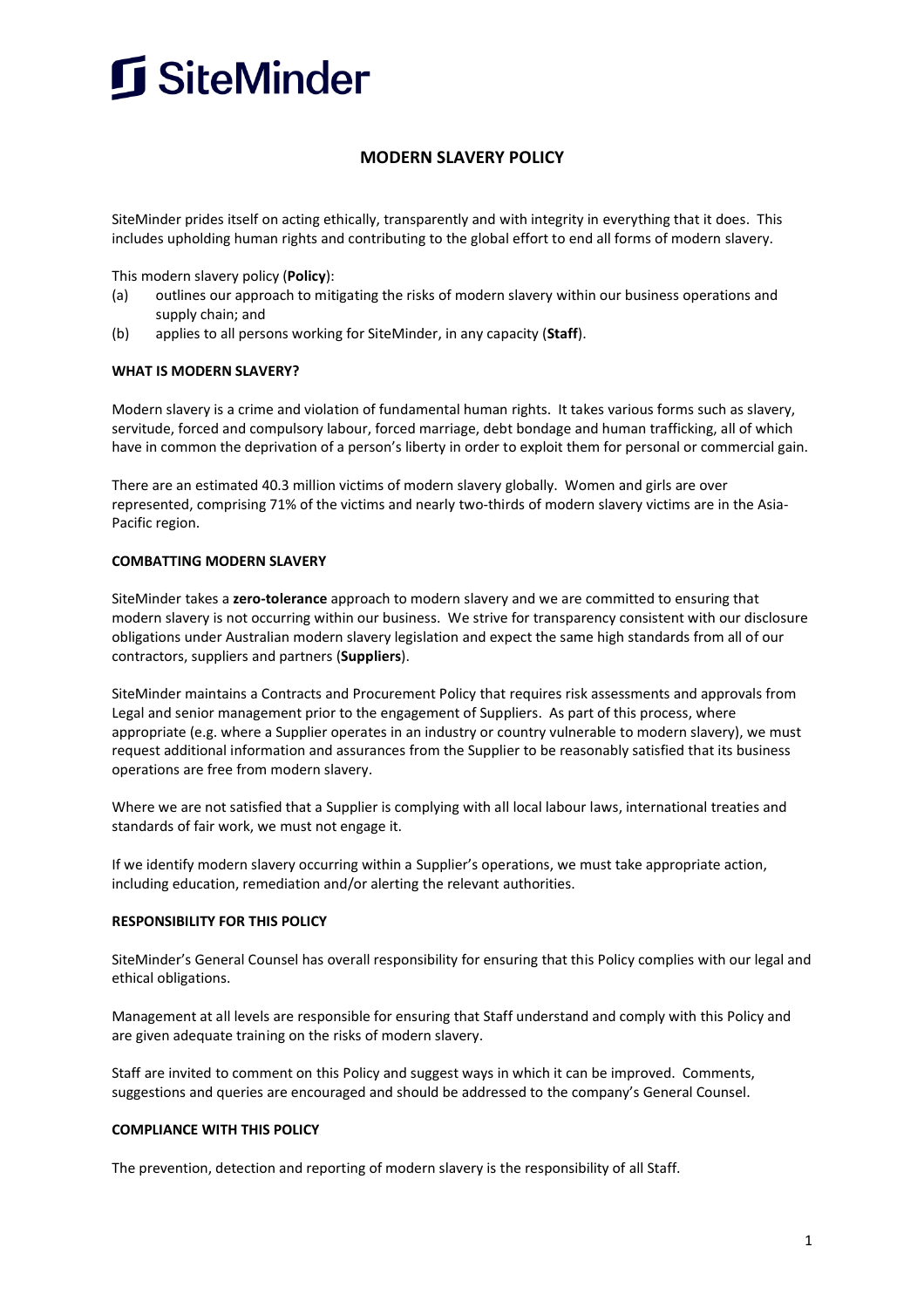

# **MODERN SLAVERY POLICY**

SiteMinder prides itself on acting ethically, transparently and with integrity in everything that it does. This includes upholding human rights and contributing to the global effort to end all forms of modern slavery.

This modern slavery policy (**Policy**):

- (a) outlines our approach to mitigating the risks of modern slavery within our business operations and supply chain; and
- (b) applies to all persons working for SiteMinder, in any capacity (**Staff**).

### **WHAT IS MODERN SLAVERY?**

Modern slavery is a crime and violation of fundamental human rights. It takes various forms such as slavery, servitude, forced and compulsory labour, forced marriage, debt bondage and human trafficking, all of which have in common the deprivation of a person's liberty in order to exploit them for personal or commercial gain.

There are an estimated 40.3 million victims of modern slavery globally. Women and girls are over represented, comprising 71% of the victims and nearly two-thirds of modern slavery victims are in the Asia-Pacific region.

#### **COMBATTING MODERN SLAVERY**

SiteMinder takes a **zero-tolerance** approach to modern slavery and we are committed to ensuring that modern slavery is not occurring within our business. We strive for transparency consistent with our disclosure obligations under Australian modern slavery legislation and expect the same high standards from all of our contractors, suppliers and partners (**Suppliers**).

SiteMinder maintains a Contracts and Procurement Policy that requires risk assessments and approvals from Legal and senior management prior to the engagement of Suppliers. As part of this process, where appropriate (e.g. where a Supplier operates in an industry or country vulnerable to modern slavery), we must request additional information and assurances from the Supplier to be reasonably satisfied that its business operations are free from modern slavery.

Where we are not satisfied that a Supplier is complying with all local labour laws, international treaties and standards of fair work, we must not engage it.

If we identify modern slavery occurring within a Supplier's operations, we must take appropriate action, including education, remediation and/or alerting the relevant authorities.

### **RESPONSIBILITY FOR THIS POLICY**

SiteMinder's General Counsel has overall responsibility for ensuring that this Policy complies with our legal and ethical obligations.

Management at all levels are responsible for ensuring that Staff understand and comply with this Policy and are given adequate training on the risks of modern slavery.

Staff are invited to comment on this Policy and suggest ways in which it can be improved. Comments, suggestions and queries are encouraged and should be addressed to the company's General Counsel.

### **COMPLIANCE WITH THIS POLICY**

The prevention, detection and reporting of modern slavery is the responsibility of all Staff.